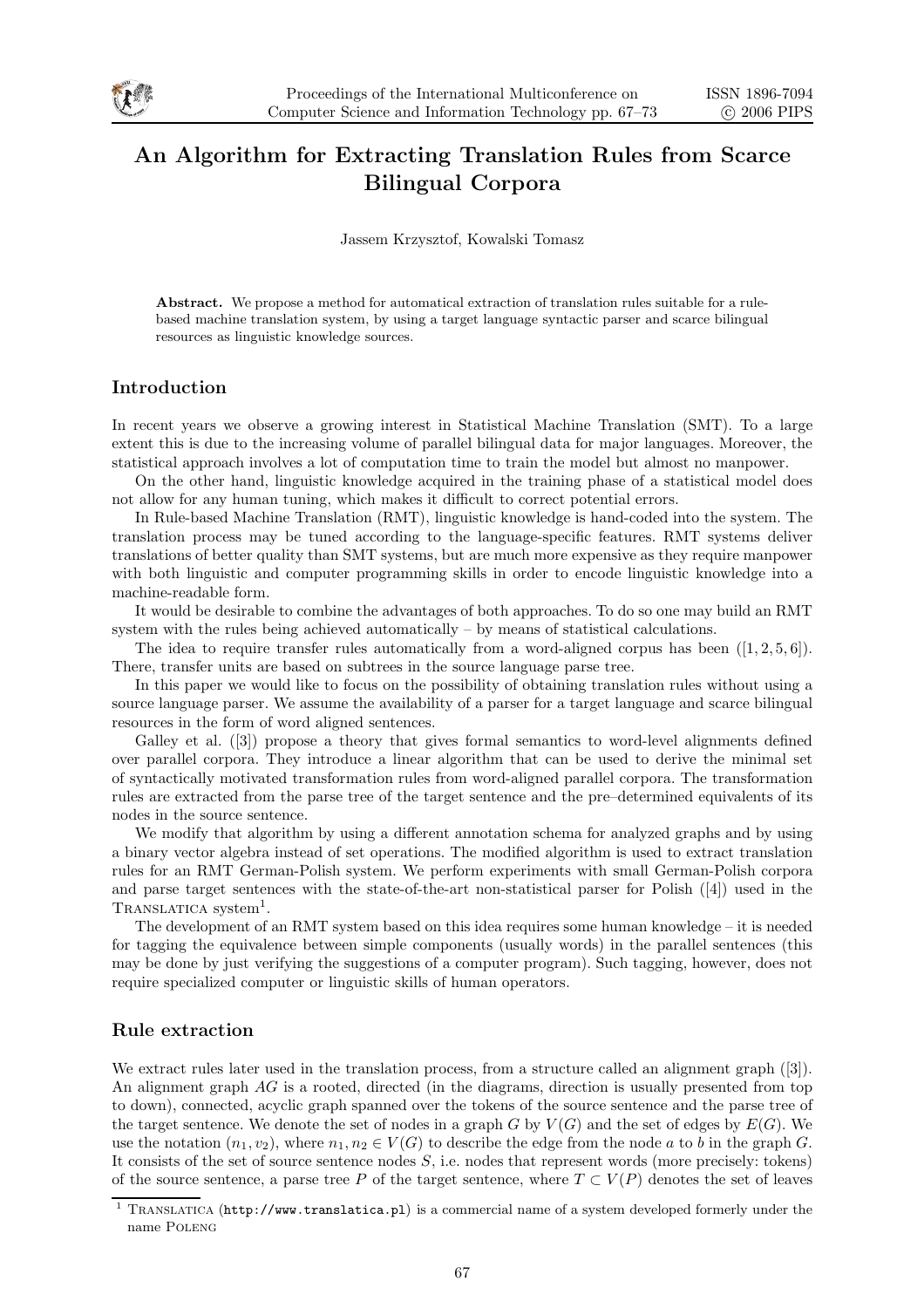

# An Algorithm for Extracting Translation Rules from Scarce Bilingual Corpora

Jassem Krzysztof, Kowalski Tomasz

Abstract. We propose a method for automatical extraction of translation rules suitable for a rulebased machine translation system, by using a target language syntactic parser and scarce bilingual resources as linguistic knowledge sources.

## Introduction

In recent years we observe a growing interest in Statistical Machine Translation (SMT). To a large extent this is due to the increasing volume of parallel bilingual data for major languages. Moreover, the statistical approach involves a lot of computation time to train the model but almost no manpower.

On the other hand, linguistic knowledge acquired in the training phase of a statistical model does not allow for any human tuning, which makes it difficult to correct potential errors.

In Rule-based Machine Translation (RMT), linguistic knowledge is hand-coded into the system. The translation process may be tuned according to the language-specific features. RMT systems deliver translations of better quality than SMT systems, but are much more expensive as they require manpower with both linguistic and computer programming skills in order to encode linguistic knowledge into a machine-readable form.

It would be desirable to combine the advantages of both approaches. To do so one may build an RMT system with the rules being achieved automatically – by means of statistical calculations.

The idea to require transfer rules automatically from a word-aligned corpus has been  $([1, 2, 5, 6])$ . There, transfer units are based on subtrees in the source language parse tree.

In this paper we would like to focus on the possibility of obtaining translation rules without using a source language parser. We assume the availability of a parser for a target language and scarce bilingual resources in the form of word aligned sentences.

Galley et al. ([3]) propose a theory that gives formal semantics to word-level alignments defined over parallel corpora. They introduce a linear algorithm that can be used to derive the minimal set of syntactically motivated transformation rules from word-aligned parallel corpora. The transformation rules are extracted from the parse tree of the target sentence and the pre–determined equivalents of its nodes in the source sentence.

We modify that algorithm by using a different annotation schema for analyzed graphs and by using a binary vector algebra instead of set operations. The modified algorithm is used to extract translation rules for an RMT German-Polish system. We perform experiments with small German-Polish corpora and parse target sentences with the state-of-the-art non-statistical parser for Polish ([4]) used in the TRANSLATICA system<sup>1</sup>.

The development of an RMT system based on this idea requires some human knowledge – it is needed for tagging the equivalence between simple components (usually words) in the parallel sentences (this may be done by just verifying the suggestions of a computer program). Such tagging, however, does not require specialized computer or linguistic skills of human operators.

## Rule extraction

We extract rules later used in the translation process, from a structure called an alignment graph ([3]). An alignment graph AG is a rooted, directed (in the diagrams, direction is usually presented from top to down), connected, acyclic graph spanned over the tokens of the source sentence and the parse tree of the target sentence. We denote the set of nodes in a graph G by  $V(G)$  and the set of edges by  $E(G)$ . We use the notation  $(n_1, v_2)$ , where  $n_1, n_2 \in V(G)$  to describe the edge from the node a to b in the graph G. It consists of the set of source sentence nodes  $S$ , i.e. nodes that represent words (more precisely: tokens) of the source sentence, a parse tree P of the target sentence, where  $T \subset V(P)$  denotes the set of leaves

<sup>&</sup>lt;sup>1</sup> TRANSLATICA (http://www.translatica.pl) is a commercial name of a system developed formerly under the name Poleng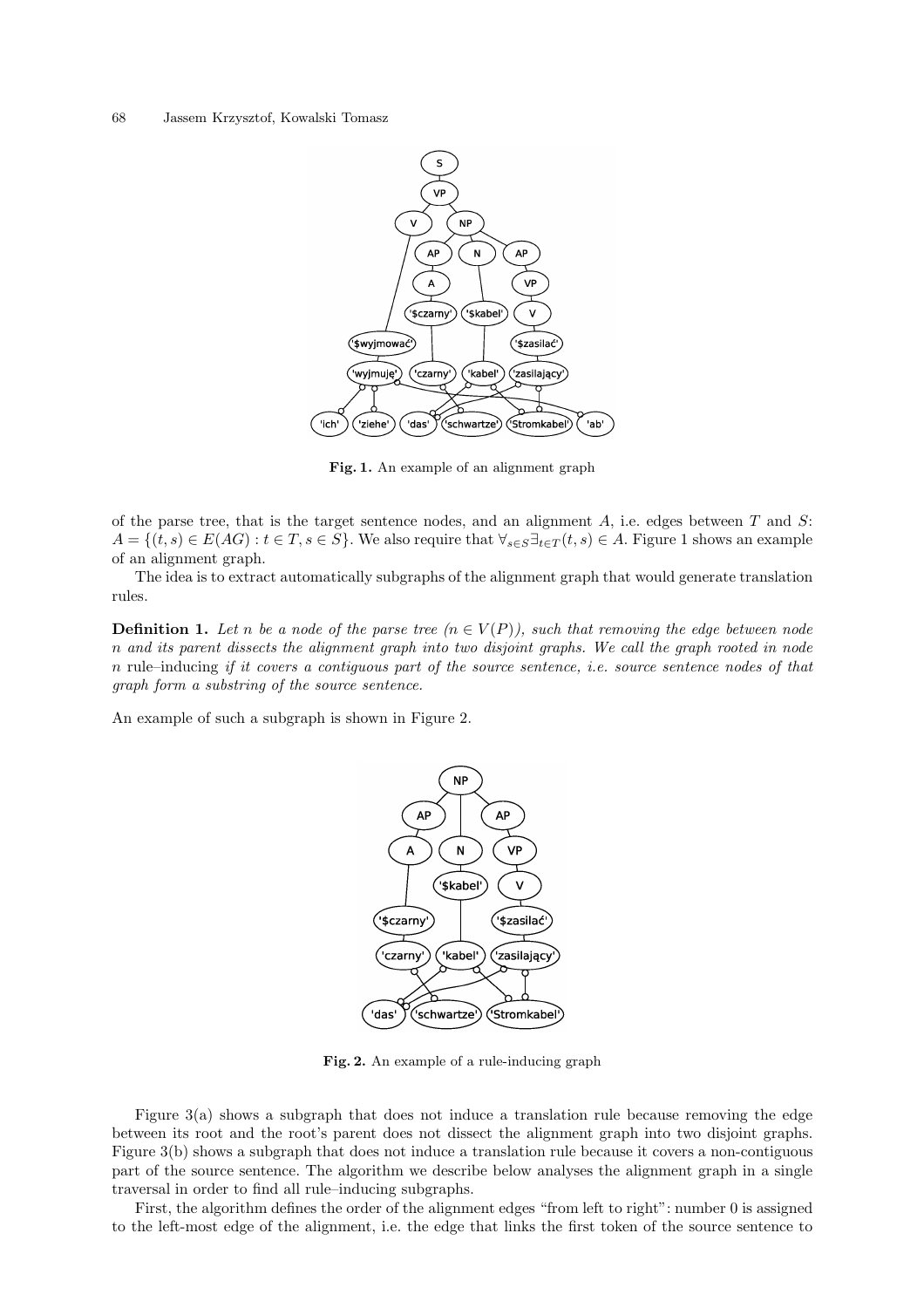#### 68 Jassem Krzysztof, Kowalski Tomasz



Fig. 1. An example of an alignment graph

of the parse tree, that is the target sentence nodes, and an alignment  $A$ , i.e. edges between  $T$  and  $S$ :  $A = \{(t, s) \in E(AG) : t \in T, s \in S\}$ . We also require that  $\forall_{s \in S} \exists_{t \in T}(t, s) \in A$ . Figure 1 shows an example of an alignment graph.

The idea is to extract automatically subgraphs of the alignment graph that would generate translation rules.

**Definition 1.** Let n be a node of the parse tree  $(n \in V(P))$ , such that removing the edge between node n and its parent dissects the alignment graph into two disjoint graphs. We call the graph rooted in node n rule–inducing if it covers a contiguous part of the source sentence, i.e. source sentence nodes of that graph form a substring of the source sentence.

An example of such a subgraph is shown in Figure 2.



Fig. 2. An example of a rule-inducing graph

Figure 3(a) shows a subgraph that does not induce a translation rule because removing the edge between its root and the root's parent does not dissect the alignment graph into two disjoint graphs. Figure 3(b) shows a subgraph that does not induce a translation rule because it covers a non-contiguous part of the source sentence. The algorithm we describe below analyses the alignment graph in a single traversal in order to find all rule–inducing subgraphs.

First, the algorithm defines the order of the alignment edges "from left to right": number 0 is assigned to the left-most edge of the alignment, i.e. the edge that links the first token of the source sentence to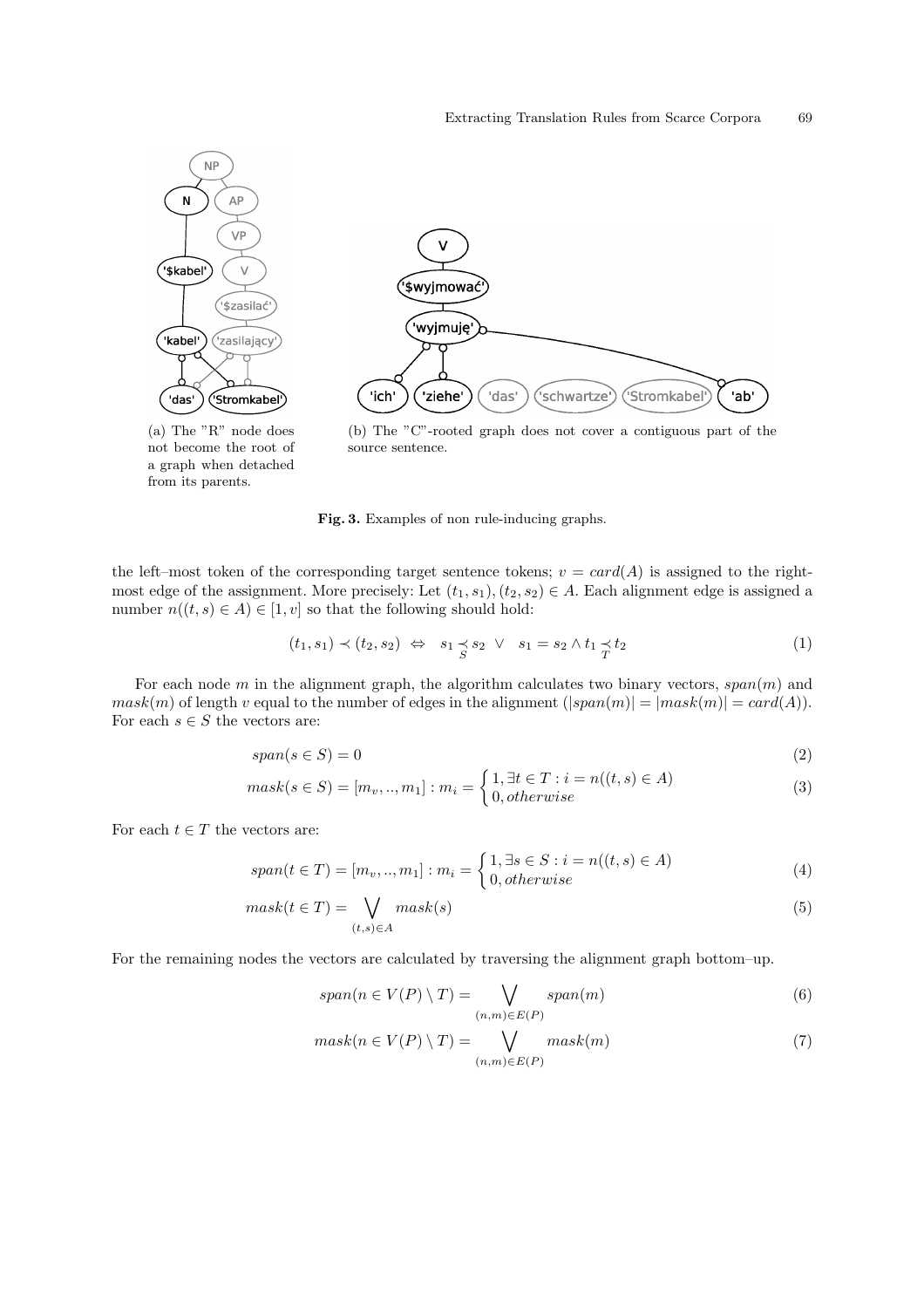

not become the root of a graph when detached from its parents.



Fig. 3. Examples of non rule-inducing graphs.

the left–most token of the corresponding target sentence tokens;  $v = card(A)$  is assigned to the rightmost edge of the assignment. More precisely: Let  $(t_1, s_1), (t_2, s_2) \in A$ . Each alignment edge is assigned a number  $n((t, s) \in A) \in [1, v]$  so that the following should hold:

$$
(t_1, s_1) \prec (t_2, s_2) \Leftrightarrow s_1 \preceq s_2 \lor s_1 = s_2 \land t_1 \preceq t_2 \tag{1}
$$

For each node  $m$  in the alignment graph, the algorithm calculates two binary vectors,  $span(m)$  and  $mask(m)$  of length v equal to the number of edges in the alignment  $(|span(m)| = |mask(m)| = card(A)).$ For each  $s \in S$  the vectors are:

$$
span(s \in S) = 0 \tag{2}
$$

$$
mask(s \in S) = [m_v, ..., m_1] : m_i = \begin{cases} 1, \exists t \in T : i = n((t, s) \in A) \\ 0, otherwise \end{cases}
$$
(3)

For each  $t \in T$  the vectors are:

$$
span(t \in T) = [m_v, ..., m_1] : m_i = \begin{cases} 1, \exists s \in S : i = n((t, s) \in A) \\ 0, otherwise \end{cases}
$$
(4)

$$
mask(t \in T) = \bigvee_{(t,s) \in A} mask(s)
$$
\n<sup>(5)</sup>

For the remaining nodes the vectors are calculated by traversing the alignment graph bottom–up.

$$
span(n \in V(P) \setminus T) = \bigvee_{(n,m) \in E(P)} span(m) \tag{6}
$$

$$
mask(n \in V(P) \setminus T) = \bigvee_{(n,m) \in E(P)} mask(m)
$$
\n(7)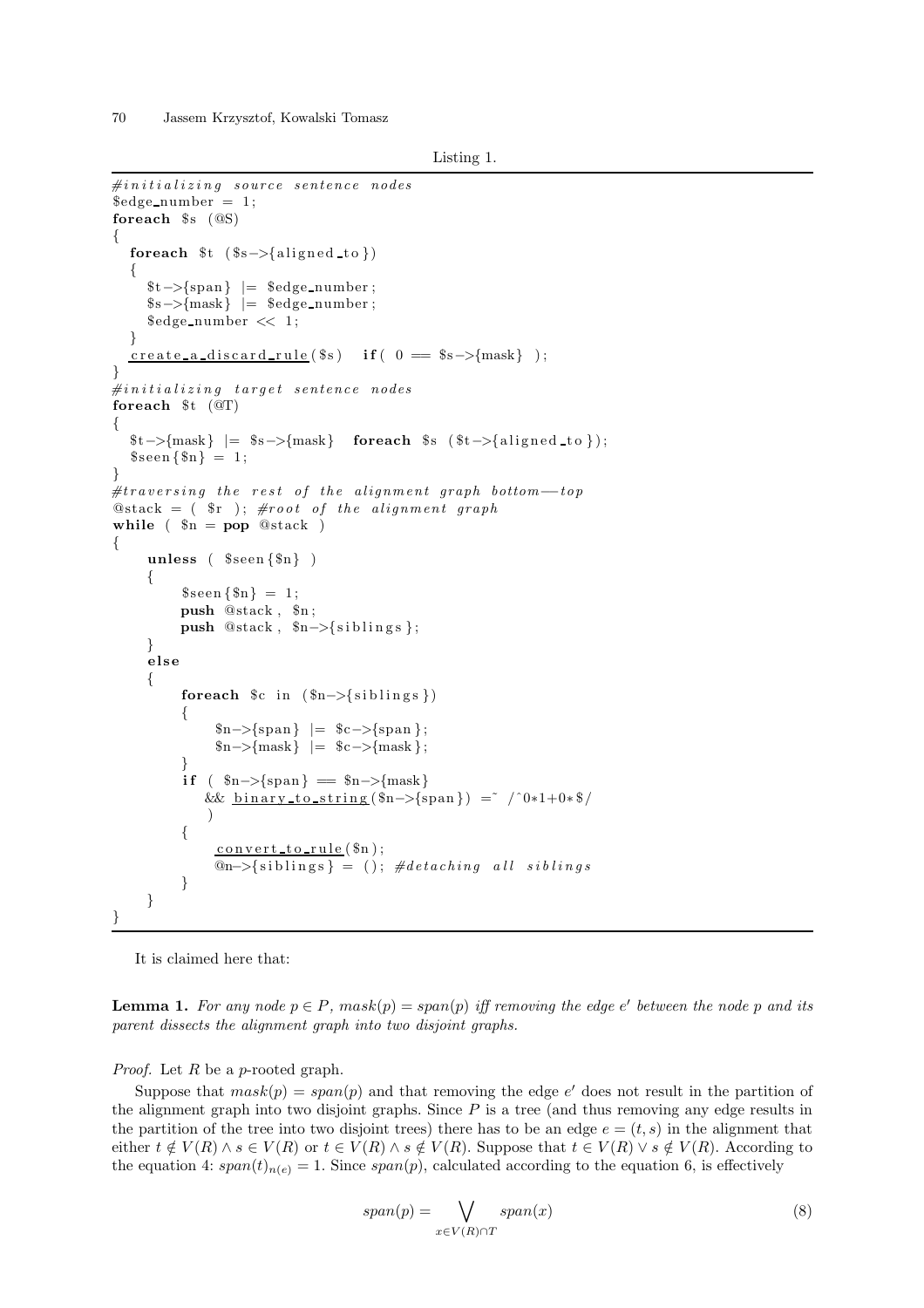70 Jassem Krzysztof, Kowalski Tomasz

```
Listing 1.
```

```
\#initializing\ source\ sentence\ nodes\text{\textdegree\_number} = 1;foreach s \cdot (\omega s){
   foreach t \ ( s \rightarrow \{aligned \}\{$t−>{span} |= $edge number ;
      $s−>{mask} |= $edge number ;
      \text{Sedge_number} \ll 1;
   }
   \frac{\text{create}_a\text{discard}_\text{rule}(\$s) \text{ if ( } 0 \text{ } = \$s \rightarrow \$ms\} }{}
\#initializing\ target\ sentence\ nodesforeach t \left( \text{OT} \right)\{t>\{mask\} = $s \rightarrow{mask} foreach $s ($t ->{aligned to });
   \{\text{sen}\{\text{\$n}\} = 1;}
#traversing the rest of the alignment graph bottom-top
\mathcal{Q}stack = (\r); #root of the alignment graph
while \left( \ \Re n = \text{pop } \mathbb{Q}stack )
{
      unless (\seen\{\$n\})
      {
            \{\text{seen } \{\$\text{n}\} = 1;push @stack , $n ;
            push @stack, $n-> {siblings };
      }
      else
      {
            foreach c \in \{ \text{sn} \to \{ \text{sibling} \} \}{
                   \{ \text{span} \} = \text{Sc} ->\{ \text{span} \};\{m \rightarrow \{mask\} \ = \c \rightarrow \{mask\};
             }
            if \left( \ \}_{n=\frac{1}{2} frack }
                & \underline{\text{binary-to-string}} (\hat{\text{sn}} > \{\text{span}\}) = \check{\text{max}} / \hat{\text{0}} * 1 + 0 * \hat{\text{0}} / \check{\text{max}})
            {
                  convert_to-rule ($n);@n->{siblings} = (); #detaching all siblings
            }
      }
}
```
It is claimed here that:

**Lemma 1.** For any node  $p \in P$ ,  $mask(p) = span(p)$  iff removing the edge e' between the node p and its parent dissects the alignment graph into two disjoint graphs.

*Proof.* Let  $R$  be a p-rooted graph.

Suppose that  $mask(p) = span(p)$  and that removing the edge e' does not result in the partition of the alignment graph into two disjoint graphs. Since  $P$  is a tree (and thus removing any edge results in the partition of the tree into two disjoint trees) there has to be an edge  $e = (t, s)$  in the alignment that either  $t \notin V(R) \wedge s \in V(R)$  or  $t \in V(R) \wedge s \notin V(R)$ . Suppose that  $t \in V(R) \vee s \notin V(R)$ . According to the equation 4:  $span(t)_{n(e)} = 1$ . Since  $span(p)$ , calculated according to the equation 6, is effectively

$$
span(p) = \bigvee_{x \in V(R) \cap T} span(x) \tag{8}
$$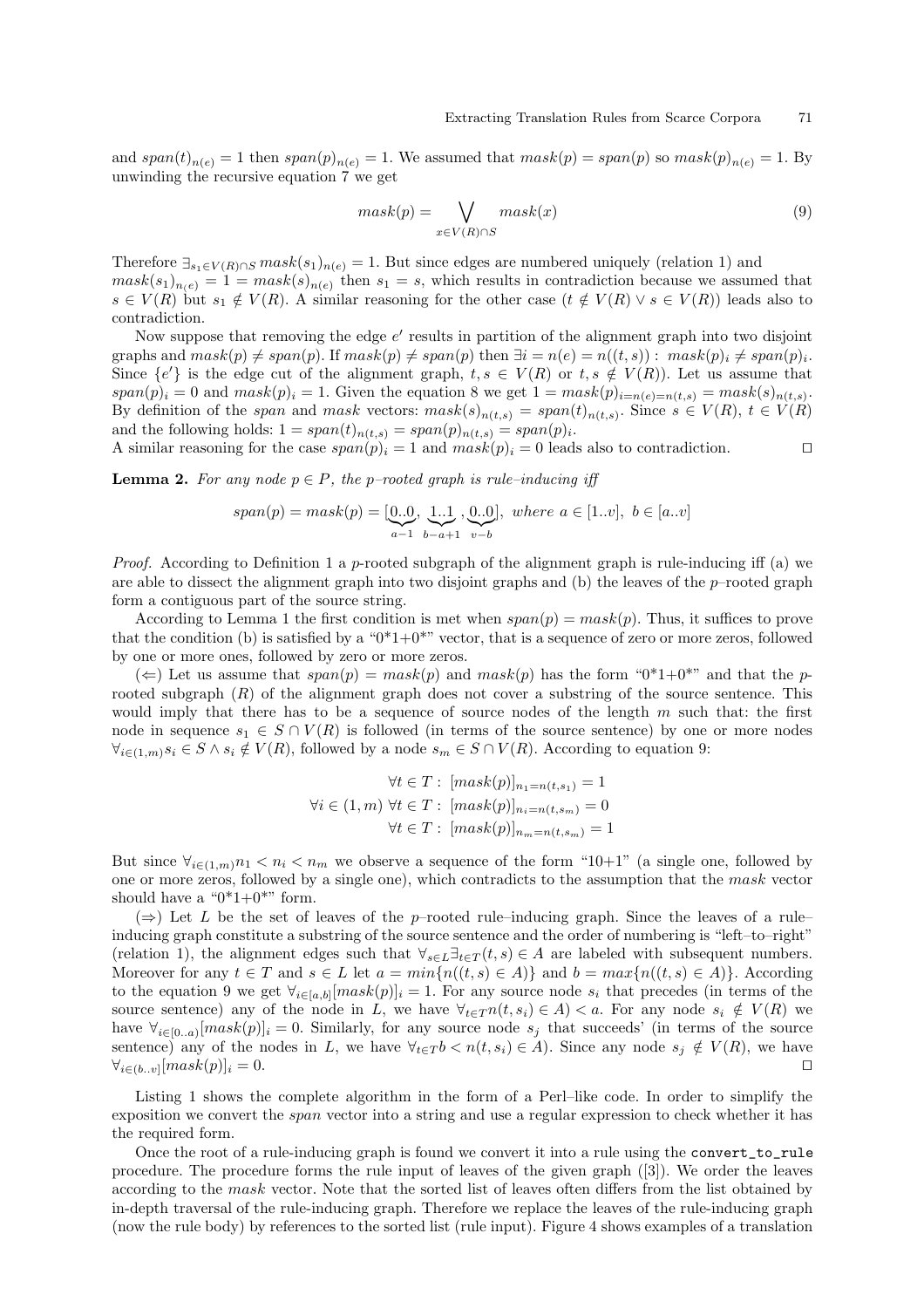and  $span(t)_{n(e)} = 1$  then  $span(p)_{n(e)} = 1$ . We assumed that  $mask(p) = span(p)$  so  $mask(p)_{n(e)} = 1$ . By unwinding the recursive equation 7 we get

$$
mask(p) = \bigvee_{x \in V(R) \cap S} mask(x) \tag{9}
$$

Therefore  $\exists_{s_1 \in V(R) \cap S} \text{mask}(s_1)_{n(e)} = 1$ . But since edges are numbered uniquely (relation 1) and  $mask(s_1)_{n(e)} = 1 = mask(s)_{n(e)}$  then  $s_1 = s$ , which results in contradiction because we assumed that  $s \in V(R)$  but  $s_1 \notin V(R)$ . A similar reasoning for the other case  $(t \notin V(R) \vee s \in V(R))$  leads also to contradiction.

Now suppose that removing the edge  $e'$  results in partition of the alignment graph into two disjoint graphs and  $mask(p) \neq span(p)$ . If  $mask(p) \neq span(p)$  then  $\exists i = n(e) = n((t, s)) : mask(p)_i \neq span(p)_i$ . Since  $\{e'\}$  is the edge cut of the alignment graph,  $t, s \in V(R)$  or  $t, s \notin V(R)$ ). Let us assume that  $span(p)_i = 0$  and  $mask(p)_i = 1$ . Given the equation 8 we get  $1 = mask(p)_{i=n(e)=n(t,s)} = mask(s)_{n(t,s)}$ . By definition of the span and mask vectors:  $mask(s)_{n(t,s)} = span(t)_{n(t,s)}$ . Since  $s \in V(R)$ ,  $t \in V(R)$ and the following holds:  $1 = span(t)_{n(t,s)} = span(p)_{n(t,s)} = span(p)_i$ .

A similar reasoning for the case  $span(p)_i = 1$  and  $mask(p)_i = 0$  leads also to contradiction. □

**Lemma 2.** For any node  $p \in P$ , the p-rooted graph is rule-inducing iff

$$
span(p) = mask(p) = [\underbrace{0..0}_{a-1}, \underbrace{1..1}_{b-a+1}, \underbrace{0..0}_{v-b}], \text{ where } a \in [1..v], \ b \in [a..v]
$$

*Proof.* According to Definition 1 a p-rooted subgraph of the alignment graph is rule-inducing iff (a) we are able to dissect the alignment graph into two disjoint graphs and (b) the leaves of the  $p$ –rooted graph form a contiguous part of the source string.

According to Lemma 1 the first condition is met when  $span(p) = mask(p)$ . Thus, it suffices to prove that the condition (b) is satisfied by a " $0*1+0*$ " vector, that is a sequence of zero or more zeros, followed by one or more ones, followed by zero or more zeros.

 $(\Leftarrow)$  Let us assume that  $span(p) = mask(p)$  and  $mask(p)$  has the form "0\*1+0\*" and that the prooted subgraph  $(R)$  of the alignment graph does not cover a substring of the source sentence. This would imply that there has to be a sequence of source nodes of the length  $m$  such that: the first node in sequence  $s_1 \in S \cap V(R)$  is followed (in terms of the source sentence) by one or more nodes  $\forall_{i\in(1,m)}s_i\in S\land s_i\notin V(R)$ , followed by a node  $s_m\in S\cap V(R)$ . According to equation 9:

$$
\forall t \in T: [mask(p)]_{n_1=n(t,s_1)} = 1
$$
  

$$
\forall i \in (1,m) \forall t \in T: [mask(p)]_{n_i=n(t,s_m)} = 0
$$
  

$$
\forall t \in T: [mask(p)]_{n_m=n(t,s_m)} = 1
$$

But since  $\forall_{i\in(1,m)}n_1 < n_i < n_m$  we observe a sequence of the form "10+1" (a single one, followed by one or more zeros, followed by a single one), which contradicts to the assumption that the mask vector should have a " $0*1+0**$ " form.

 $(\Rightarrow)$  Let L be the set of leaves of the p–rooted rule–inducing graph. Since the leaves of a rule– inducing graph constitute a substring of the source sentence and the order of numbering is "left–to–right" (relation 1), the alignment edges such that  $\forall_{s\in L} \exists_{t\in T} (t,s) \in A$  are labeled with subsequent numbers. Moreover for any  $t \in T$  and  $s \in L$  let  $a = min\{n((t, s) \in A)\}\$  and  $b = max\{n((t, s) \in A)\}\$ . According to the equation 9 we get  $\forall_{i\in [a,b]} [mask(p)]_i = 1$ . For any source node  $s_i$  that precedes (in terms of the source sentence) any of the node in L, we have  $\forall_{t \in T} n(t, s_i) \in A$   $\lt a$ . For any node  $s_i \notin V(R)$  we have  $\forall_{i\in[0..a)}[mask(p)]_i = 0$ . Similarly, for any source node  $s_j$  that succeeds' (in terms of the source sentence) any of the nodes in L, we have  $\forall_{t \in T} b < n(t, s_i) \in A$ . Since any node  $s_j \notin V(R)$ , we have  $\forall_{i \in (b..v)} [mask(p)]_i = 0.$ 

Listing 1 shows the complete algorithm in the form of a Perl–like code. In order to simplify the exposition we convert the span vector into a string and use a regular expression to check whether it has the required form.

Once the root of a rule-inducing graph is found we convert it into a rule using the convert\_to\_rule procedure. The procedure forms the rule input of leaves of the given graph ([3]). We order the leaves according to the mask vector. Note that the sorted list of leaves often differs from the list obtained by in-depth traversal of the rule-inducing graph. Therefore we replace the leaves of the rule-inducing graph (now the rule body) by references to the sorted list (rule input). Figure 4 shows examples of a translation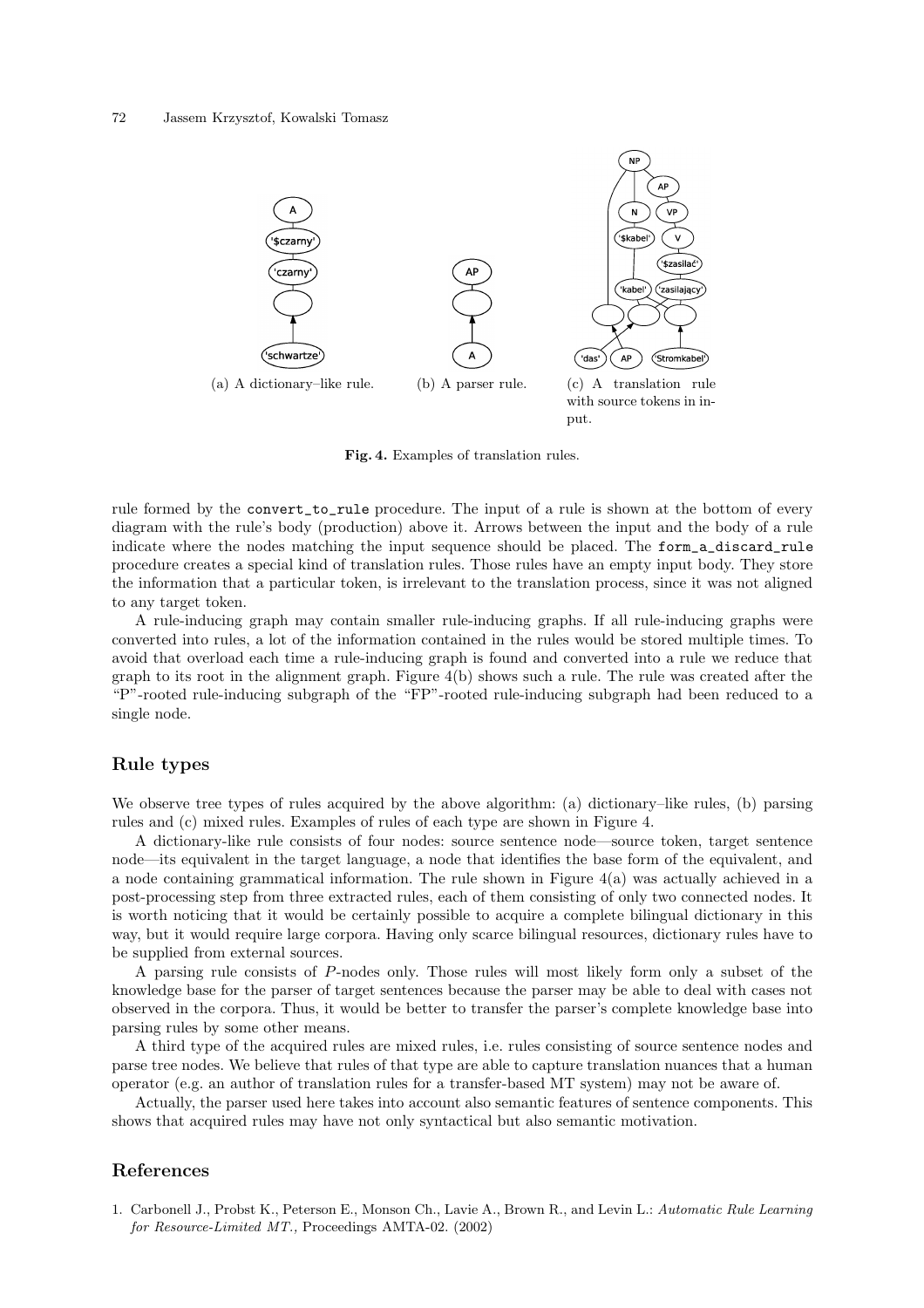

Fig. 4. Examples of translation rules.

rule formed by the convert\_to\_rule procedure. The input of a rule is shown at the bottom of every diagram with the rule's body (production) above it. Arrows between the input and the body of a rule indicate where the nodes matching the input sequence should be placed. The form\_a\_discard\_rule procedure creates a special kind of translation rules. Those rules have an empty input body. They store the information that a particular token, is irrelevant to the translation process, since it was not aligned to any target token.

A rule-inducing graph may contain smaller rule-inducing graphs. If all rule-inducing graphs were converted into rules, a lot of the information contained in the rules would be stored multiple times. To avoid that overload each time a rule-inducing graph is found and converted into a rule we reduce that graph to its root in the alignment graph. Figure 4(b) shows such a rule. The rule was created after the "P"-rooted rule-inducing subgraph of the "FP"-rooted rule-inducing subgraph had been reduced to a single node.

## Rule types

We observe tree types of rules acquired by the above algorithm: (a) dictionary–like rules, (b) parsing rules and (c) mixed rules. Examples of rules of each type are shown in Figure 4.

A dictionary-like rule consists of four nodes: source sentence node—source token, target sentence node—its equivalent in the target language, a node that identifies the base form of the equivalent, and a node containing grammatical information. The rule shown in Figure 4(a) was actually achieved in a post-processing step from three extracted rules, each of them consisting of only two connected nodes. It is worth noticing that it would be certainly possible to acquire a complete bilingual dictionary in this way, but it would require large corpora. Having only scarce bilingual resources, dictionary rules have to be supplied from external sources.

A parsing rule consists of P-nodes only. Those rules will most likely form only a subset of the knowledge base for the parser of target sentences because the parser may be able to deal with cases not observed in the corpora. Thus, it would be better to transfer the parser's complete knowledge base into parsing rules by some other means.

A third type of the acquired rules are mixed rules, i.e. rules consisting of source sentence nodes and parse tree nodes. We believe that rules of that type are able to capture translation nuances that a human operator (e.g. an author of translation rules for a transfer-based MT system) may not be aware of.

Actually, the parser used here takes into account also semantic features of sentence components. This shows that acquired rules may have not only syntactical but also semantic motivation.

### References

1. Carbonell J., Probst K., Peterson E., Monson Ch., Lavie A., Brown R., and Levin L.: Automatic Rule Learning for Resource-Limited MT., Proceedings AMTA-02. (2002)